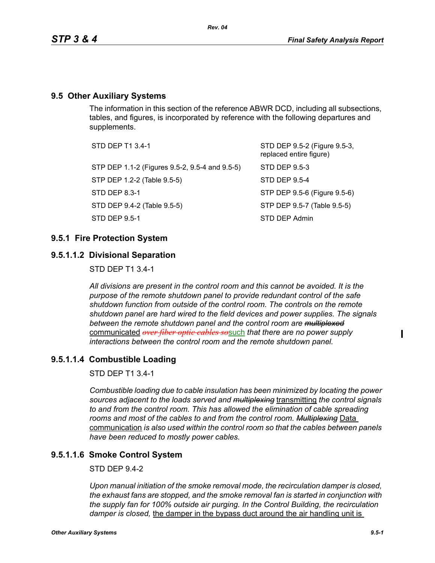# **9.5 Other Auxiliary Systems**

The information in this section of the reference ABWR DCD, including all subsections, tables, and figures, is incorporated by reference with the following departures and supplements.

| STD DEP T1 3.4-1                               | STD DEP 9.5-2 (Figure 9.5-3,<br>replaced entire figure) |
|------------------------------------------------|---------------------------------------------------------|
| STP DEP 1.1-2 (Figures 9.5-2, 9.5-4 and 9.5-5) | STD DEP 9.5-3                                           |
| STP DEP 1.2-2 (Table 9.5-5)                    | STD DEP 9.5-4                                           |
| STD DEP 8.3-1                                  | STP DEP 9.5-6 (Figure 9.5-6)                            |
| STD DEP 9.4-2 (Table 9.5-5)                    | STP DEP 9.5-7 (Table 9.5-5)                             |
| STD DEP 9.5-1                                  | STD DEP Admin                                           |

# **9.5.1 Fire Protection System**

# **9.5.1.1.2 Divisional Separation**

STD DEP T1 3.4-1

*All divisions are present in the control room and this cannot be avoided. It is the purpose of the remote shutdown panel to provide redundant control of the safe shutdown function from outside of the control room. The controls on the remote shutdown panel are hard wired to the field devices and power supplies. The signals between the remote shutdown panel and the control room are multiplexed* communicated *over fiber optic cables so*such *that there are no power supply interactions between the control room and the remote shutdown panel.*

# **9.5.1.1.4 Combustible Loading**

STD DEP T1 3.4-1

*Combustible loading due to cable insulation has been minimized by locating the power sources adjacent to the loads served and multiplexing* transmitting *the control signals to and from the control room. This has allowed the elimination of cable spreading rooms and most of the cables to and from the control room. Multiplexing* Data communication *is also used within the control room so that the cables between panels have been reduced to mostly power cables.*

# **9.5.1.1.6 Smoke Control System**

#### STD DEP 9.4-2

*Upon manual initiation of the smoke removal mode, the recirculation damper is closed, the exhaust fans are stopped, and the smoke removal fan is started in conjunction with the supply fan for 100% outside air purging. In the Control Building, the recirculation damper is closed,* the damper in the bypass duct around the air handling unit is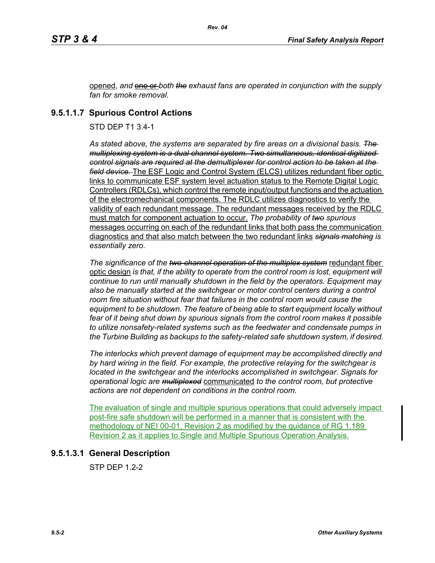opened, *and* one or *both the exhaust fans are operated in conjunction with the supply fan for smoke removal.*

# **9.5.1.1.7 Spurious Control Actions**

STD DEP T1 3.4-1

*As stated above, the systems are separated by fire areas on a divisional basis. The multiplexing system is a dual channel system. Two simultaneous, identical digitized control signals are required at the demultiplexer for control action to be taken at the field device.* The ESF Logic and Control System (ELCS) utilizes redundant fiber optic links to communicate ESF system level actuation status to the Remote Digital Logic Controllers (RDLCs), which control the remote input/output functions and the actuation of the electromechanical components. The RDLC utilizes diagnostics to verify the validity of each redundant message. The redundant messages received by the RDLC must match for component actuation to occur. *The probability of two spurious* messages occurring on each of the redundant links that both pass the communication diagnostics and that also match between the two redundant links *signals matching is essentially zero.*

*The significance of the two-channel operation of the multiplex system* redundant fiber optic design *is that, if the ability to operate from the control room is lost, equipment will continue to run until manually shutdown in the field by the operators. Equipment may*  also be manually started at the switchgear or motor control centers during a control *room fire situation without fear that failures in the control room would cause the equipment to be shutdown. The feature of being able to start equipment locally without fear of it being shut down by spurious signals from the control room makes it possible to utilize nonsafety-related systems such as the feedwater and condensate pumps in the Turbine Building as backups to the safety-related safe shutdown system, if desired.*

*The interlocks which prevent damage of equipment may be accomplished directly and by hard wiring in the field. For example, the protective relaying for the switchgear is located in the switchgear and the interlocks accomplished in switchgear. Signals for operational logic are multiplexed* communicated *to the control room, but protective actions are not dependent on conditions in the control room.*

The evaluation of single and multiple spurious operations that could adversely impact post-fire safe shutdown will be performed in a manner that is consistent with the methodology of NEI 00-01, Revision 2 as modified by the guidance of RG 1.189 Revision 2 as it applies to Single and Multiple Spurious Operation Analysis.

# **9.5.1.3.1 General Description**

STP DEP 1.2-2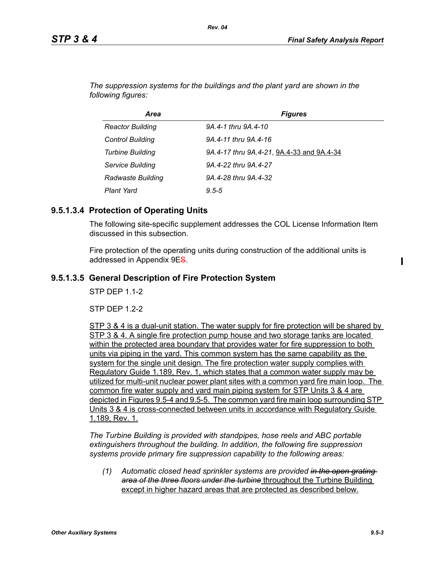| Area                     | <b>Figures</b>                            |
|--------------------------|-------------------------------------------|
| <b>Reactor Building</b>  | 9A.4-1 thru 9A.4-10                       |
| <b>Control Building</b>  | 9A.4-11 thru 9A.4-16                      |
| <b>Turbine Building</b>  | 9A.4-17 thru 9A.4-21, 9A.4-33 and 9A.4-34 |
| <b>Service Building</b>  | 9A.4-22 thru 9A.4-27                      |
| <b>Radwaste Building</b> | 9A.4-28 thru 9A.4-32                      |
| <b>Plant Yard</b>        | $9.5 - 5$                                 |

*The suppression systems for the buildings and the plant yard are shown in the following figures:*

*Rev. 04*

# **9.5.1.3.4 Protection of Operating Units**

The following site-specific supplement addresses the COL License Information Item discussed in this subsection.

Fire protection of the operating units during construction of the additional units is addressed in Appendix 9ES.

# **9.5.1.3.5 General Description of Fire Protection System**

**STP DFP 11-2** 

 $STP$  DFP 12-2

STP 3 & 4 is a dual-unit station. The water supply for fire protection will be shared by STP 3 & 4. A single fire protection pump house and two storage tanks are located within the protected area boundary that provides water for fire suppression to both units via piping in the yard. This common system has the same capability as the system for the single unit design. The fire protection water supply complies with Regulatory Guide 1.189, Rev. 1, which states that a common water supply may be utilized for multi-unit nuclear power plant sites with a common yard fire main loop. The common fire water supply and yard main piping system for STP Units 3 & 4 are depicted in Figures 9.5-4 and 9.5-5. The common yard fire main loop surrounding STP Units 3 & 4 is cross-connected between units in accordance with Regulatory Guide 1.189, Rev. 1.

*The Turbine Building is provided with standpipes, hose reels and ABC portable extinguishers throughout the building. In addition, the following fire suppression systems provide primary fire suppression capability to the following areas:*

*(1) Automatic closed head sprinkler systems are provided in the open grating area of the three floors under the turbine* throughout the Turbine Building except in higher hazard areas that are protected as described below.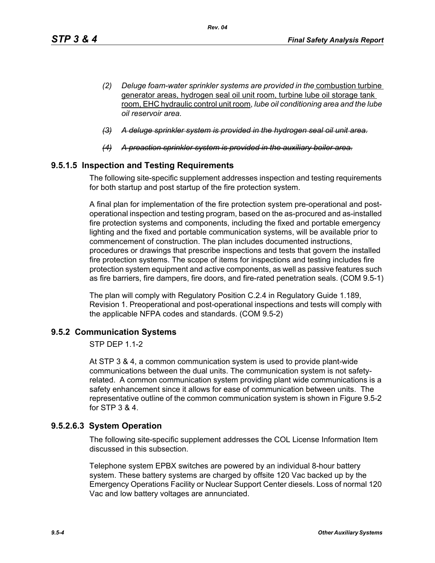- *(2) Deluge foam-water sprinkler systems are provided in the* combustion turbine generator areas, hydrogen seal oil unit room, turbine lube oil storage tank room, EHC hydraulic control unit room, *lube oil conditioning area and the lube oil reservoir area.*
- *(3) A deluge sprinkler system is provided in the hydrogen seal oil unit area.*
- *(4) A preaction sprinkler system is provided in the auxiliary boiler area.*

# **9.5.1.5 Inspection and Testing Requirements**

The following site-specific supplement addresses inspection and testing requirements for both startup and post startup of the fire protection system.

A final plan for implementation of the fire protection system pre-operational and postoperational inspection and testing program, based on the as-procured and as-installed fire protection systems and components, including the fixed and portable emergency lighting and the fixed and portable communication systems, will be available prior to commencement of construction. The plan includes documented instructions, procedures or drawings that prescribe inspections and tests that govern the installed fire protection systems. The scope of items for inspections and testing includes fire protection system equipment and active components, as well as passive features such as fire barriers, fire dampers, fire doors, and fire-rated penetration seals. (COM 9.5-1)

The plan will comply with Regulatory Position C.2.4 in Regulatory Guide 1.189, Revision 1. Preoperational and post-operational inspections and tests will comply with the applicable NFPA codes and standards. (COM 9.5-2)

# **9.5.2 Communication Systems**

STP DEP 1.1-2

At STP 3 & 4, a common communication system is used to provide plant-wide communications between the dual units. The communication system is not safetyrelated. A common communication system providing plant wide communications is a safety enhancement since it allows for ease of communication between units. The representative outline of the common communication system is shown in Figure 9.5-2 for STP 3 & 4.

# **9.5.2.6.3 System Operation**

The following site-specific supplement addresses the COL License Information Item discussed in this subsection.

Telephone system EPBX switches are powered by an individual 8-hour battery system. These battery systems are charged by offsite 120 Vac backed up by the Emergency Operations Facility or Nuclear Support Center diesels. Loss of normal 120 Vac and low battery voltages are annunciated.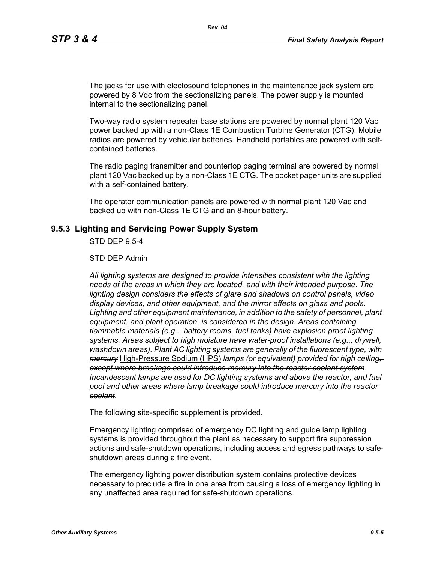The jacks for use with electosound telephones in the maintenance jack system are powered by 8 Vdc from the sectionalizing panels. The power supply is mounted internal to the sectionalizing panel.

Two-way radio system repeater base stations are powered by normal plant 120 Vac power backed up with a non-Class 1E Combustion Turbine Generator (CTG). Mobile radios are powered by vehicular batteries. Handheld portables are powered with selfcontained batteries.

The radio paging transmitter and countertop paging terminal are powered by normal plant 120 Vac backed up by a non-Class 1E CTG. The pocket pager units are supplied with a self-contained battery.

The operator communication panels are powered with normal plant 120 Vac and backed up with non-Class 1E CTG and an 8-hour battery.

#### **9.5.3 Lighting and Servicing Power Supply System**

STD DEP 9.5-4

#### STD DEP Admin

*All lighting systems are designed to provide intensities consistent with the lighting needs of the areas in which they are located, and with their intended purpose. The lighting design considers the effects of glare and shadows on control panels, video display devices, and other equipment, and the mirror effects on glass and pools. Lighting and other equipment maintenance, in addition to the safety of personnel, plant equipment, and plant operation, is considered in the design. Areas containing flammable materials (e.g.., battery rooms, fuel tanks) have explosion proof lighting systems. Areas subject to high moisture have water-proof installations (e.g.., drywell, washdown areas). Plant AC lighting systems are generally of the fluorescent type, with mercury* High-Pressure Sodium (HPS) *lamps (or equivalent) provided for high ceiling, except where breakage could introduce mercury into the reactor coolant system*. *Incandescent lamps are used for DC lighting systems and above the reactor, and fuel pool and other areas where lamp breakage could introduce mercury into the reactor coolant*.

The following site-specific supplement is provided.

Emergency lighting comprised of emergency DC lighting and guide lamp lighting systems is provided throughout the plant as necessary to support fire suppression actions and safe-shutdown operations, including access and egress pathways to safeshutdown areas during a fire event.

The emergency lighting power distribution system contains protective devices necessary to preclude a fire in one area from causing a loss of emergency lighting in any unaffected area required for safe-shutdown operations.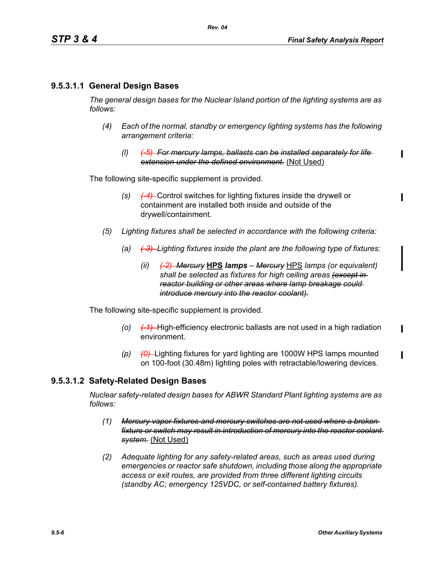# **9.5.3.1.1 General Design Bases**

*The general design bases for the Nuclear Island portion of the lighting systems are as follows:*

- *(4) Each of the normal, standby or emergency lighting systems has the following arrangement criteria:*
	- *(l) (-5) For mercury lamps, ballasts can be installed separately for life extension under the defined environment.* (Not Used)

The following site-specific supplement is provided.

- *(s) (-4)* Control switches for lighting fixtures inside the drywell or containment are installed both inside and outside of the drywell/containment.
- *(5) Lighting fixtures shall be selected in accordance with the following criteria:*
	- *(a) (-3) Lighting fixtures inside the plant are the following type of fixtures:*
		- *(ii) (-2) Mercury* **HPS** *lamps Mercury* HPS *lamps (or equivalent) shall be selected as fixtures for high ceiling areas (except in reactor building or other areas where lamp breakage could introduce mercury into the reactor coolant).*

The following site-specific supplement is provided.

- *(o) (-1)* High-efficiency electronic ballasts are not used in a high radiation environment.
- *(p) (0)* Lighting fixtures for yard lighting are 1000W HPS lamps mounted on 100-foot (30.48m) lighting poles with retractable/lowering devices.

#### **9.5.3.1.2 Safety-Related Design Bases**

*Nuclear safety-related design bases for ABWR Standard Plant lighting systems are as follows:*

- *(1) Mercury vapor fixtures and mercury switches are not used where a broken fixture or switch may result in introduction of mercury into the reactor coolant system.* (Not Used)
- *(2) Adequate lighting for any safety-related areas, such as areas used during emergencies or reactor safe shutdown, including those along the appropriate access or exit routes, are provided from three different lighting circuits (standby AC; emergency 125VDC, or self-contained battery fixtures).*

 $\blacksquare$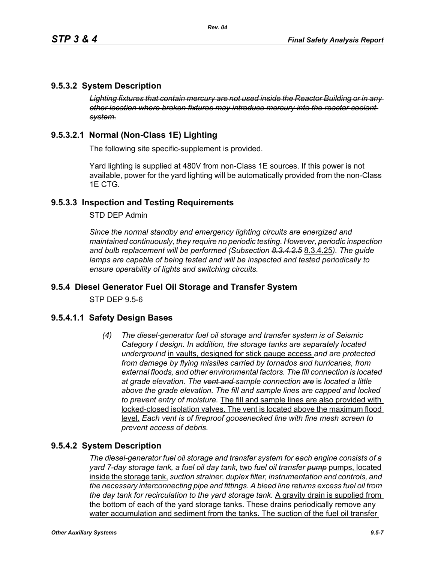# **9.5.3.2 System Description**

*Lighting fixtures that contain mercury are not used inside the Reactor Building or in any other location where broken fixtures may introduce mercury into the reactor coolant system.*

# **9.5.3.2.1 Normal (Non-Class 1E) Lighting**

The following site specific-supplement is provided.

Yard lighting is supplied at 480V from non-Class 1E sources. If this power is not available, power for the yard lighting will be automatically provided from the non-Class 1E CTG.

### **9.5.3.3 Inspection and Testing Requirements**

STD DEP Admin

*Since the normal standby and emergency lighting circuits are energized and maintained continuously, they require no periodic testing. However, periodic inspection and bulb replacement will be performed (Subsection 8.3.4.2.5* 8.3.4.25*). The guide lamps are capable of being tested and will be inspected and tested periodically to ensure operability of lights and switching circuits.*

#### **9.5.4 Diesel Generator Fuel Oil Storage and Transfer System**

STP DEP 9.5-6

#### **9.5.4.1.1 Safety Design Bases**

*(4) The diesel-generator fuel oil storage and transfer system is of Seismic Category I design. In addition, the storage tanks are separately located underground* in vaults, designed for stick gauge access *and are protected from damage by flying missiles carried by tornados and hurricanes, from external floods, and other environmental factors. The fill connection is located at grade elevation. The vent and sample connection are* is *located a little above the grade elevation. The fill and sample lines are capped and locked to prevent entry of moisture.* The fill and sample lines are also provided with locked-closed isolation valves. The vent is located above the maximum flood level. *Each vent is of fireproof goosenecked line with fine mesh screen to prevent access of debris.*

#### **9.5.4.2 System Description**

*The diesel-generator fuel oil storage and transfer system for each engine consists of a yard 7-day storage tank, a fuel oil day tank,* two *fuel oil transfer pump* pumps, located inside the storage tank, *suction strainer, duplex filter, instrumentation and controls, and the necessary interconnecting pipe and fittings. A bleed line returns excess fuel oil from the day tank for recirculation to the yard storage tank.* A gravity drain is supplied from the bottom of each of the yard storage tanks. These drains periodically remove any water accumulation and sediment from the tanks. The suction of the fuel oil transfer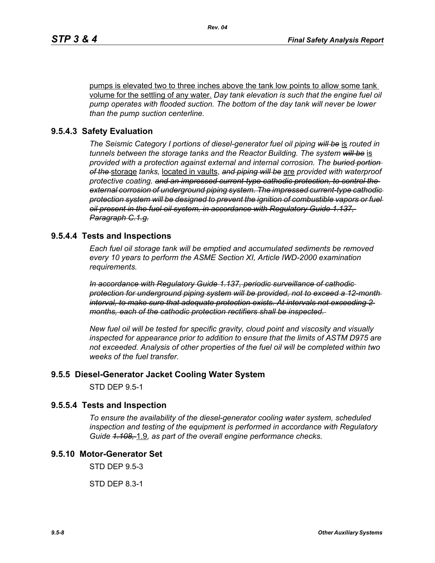pumps is elevated two to three inches above the tank low points to allow some tank volume for the settling of any water. *Day tank elevation is such that the engine fuel oil pump operates with flooded suction. The bottom of the day tank will never be lower than the pump suction centerline.*

#### **9.5.4.3 Safety Evaluation**

*The Seismic Category I portions of diesel-generator fuel oil piping will be* is *routed in tunnels between the storage tanks and the Reactor Building. The system will be* is *provided with a protection against external and internal corrosion. The buried portion of the* storage *tanks,* located in vaults, *and piping will be* are *provided with waterproof protective coating. and an impressed current-type cathodic protection, to control the external corrosion of underground piping system. The impressed current-type cathodic protection system will be designed to prevent the ignition of combustible vapors or fuel oil present in the fuel oil system, in accordance with Regulatory Guide 1.137, Paragraph C.1.g.*

#### **9.5.4.4 Tests and Inspections**

*Each fuel oil storage tank will be emptied and accumulated sediments be removed every 10 years to perform the ASME Section XI, Article IWD-2000 examination requirements.*

*In accordance with Regulatory Guide 1.137, periodic surveillance of cathodic protection for underground piping system will be provided, not to exceed a 12-month interval, to make sure that adequate protection exists. At intervals not exceeding 2 months, each of the cathodic protection rectifiers shall be inspected.* 

*New fuel oil will be tested for specific gravity, cloud point and viscosity and visually inspected for appearance prior to addition to ensure that the limits of ASTM D975 are not exceeded. Analysis of other properties of the fuel oil will be completed within two weeks of the fuel transfer.*

#### **9.5.5 Diesel-Generator Jacket Cooling Water System**

STD DEP 9.5-1

#### **9.5.5.4 Tests and Inspection**

*To ensure the availability of the diesel-generator cooling water system, scheduled inspection and testing of the equipment is performed in accordance with Regulatory Guide 1.108,* 1.9*, as part of the overall engine performance checks.*

# **9.5.10 Motor-Generator Set**

STD DEP 9.5-3

STD DEP 8.3-1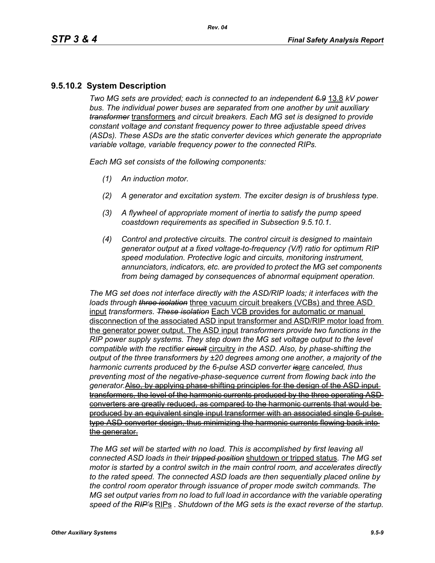# **9.5.10.2 System Description**

*Two MG sets are provided; each is connected to an independent 6.9* 13.8 *kV power bus. The individual power buses are separated from one another by unit auxiliary transformer* transformers *and circuit breakers. Each MG set is designed to provide constant voltage and constant frequency power to three adjustable speed drives (ASDs). These ASDs are the static converter devices which generate the appropriate variable voltage, variable frequency power to the connected RIPs.*

*Each MG set consists of the following components:*

- *(1) An induction motor.*
- *(2) A generator and excitation system. The exciter design is of brushless type.*
- *(3) A flywheel of appropriate moment of inertia to satisfy the pump speed coastdown requirements as specified in Subsection 9.5.10.1.*
- *(4) Control and protective circuits. The control circuit is designed to maintain generator output at a fixed voltage-to-frequency (V/f) ratio for optimum RIP speed modulation. Protective logic and circuits, monitoring instrument, annunciators, indicators, etc. are provided to protect the MG set components from being damaged by consequences of abnormal equipment operation.*

*The MG set does not interface directly with the ASD/RIP loads; it interfaces with the loads through three isolation* three vacuum circuit breakers (VCBs) and three ASD input *transformers*. *These isolation* Each VCB provides for automatic or manual disconnection of the associated ASD input transformer and ASD/RIP motor load from the generator power output. The ASD input *transformers provide two functions in the RIP power supply systems. They step down the MG set voltage output to the level compatible with the rectifier circuit* circuitry *in the ASD. Also, by phase-shifting the output of the three transformers by ±20 degrees among one another, a majority of the harmonic currents produced by the 6-pulse ASD converter is*are *canceled, thus preventing most of the negative-phase-sequence current from flowing back into the generator.*Also, by applying phase-shifting principles for the design of the ASD input transformers, the level of the harmonic currents produced by the three operating ASD converters are greatly reduced, as compared to the harmonic currents that would be produced by an equivalent single input transformer with an associated single 6-pulse type ASD converter design, thus minimizing the harmonic currents flowing back into the generator.

*The MG set will be started with no load. This is accomplished by first leaving all connected ASD loads in their tripped position* shutdown or tripped status. *The MG set motor is started by a control switch in the main control room, and accelerates directly to the rated speed. The connected ASD loads are then sequentially placed online by the control room operator through issuance of proper mode switch commands. The MG set output varies from no load to full load in accordance with the variable operating speed of the RIP's* RIPs . *Shutdown of the MG sets is the exact reverse of the startup.*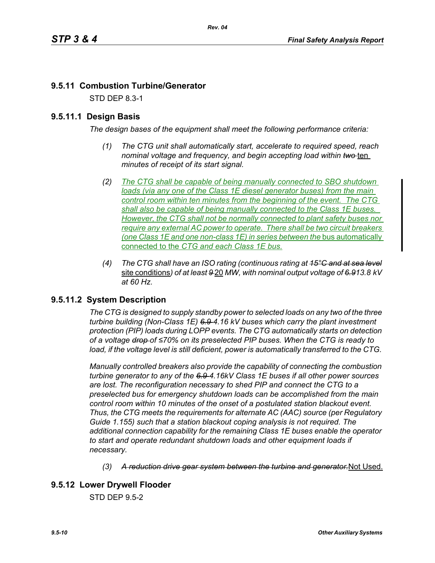# **9.5.11 Combustion Turbine/Generator**

STD DEP 8.3-1

# **9.5.11.1 Design Basis**

*The design bases of the equipment shall meet the following performance criteria:*

- *(1) The CTG unit shall automatically start, accelerate to required speed, reach nominal voltage and frequency, and begin accepting load within two-ten minutes of receipt of its start signal.*
- *(2) The CTG shall be capable of being manually connected to SBO shutdown loads (via any one of the Class 1E diesel generator buses) from the main control room within ten minutes from the beginning of the event. The CTG shall also be capable of being manually connected to the Class 1E buses. However, the CTG shall not be normally connected to plant safety buses nor require any external AC power to operate. There shall be two circuit breakers (one Class 1E and one non-class 1E) in series between the bus automatically* connected to the *CTG and each Class 1E bus.*
- *(4) The CTG shall have an ISO rating (continuous rating at 15°C and at sea level* site conditions*) of at least 9* 20 *MW, with nominal output voltage of 6.913.8 kV at 60 Hz.*

# **9.5.11.2 System Description**

*The CTG is designed to supply standby power to selected loads on any two of the three turbine building (Non-Class 1E) 6.9 4.16 kV buses which carry the plant investment protection (PIP) loads during LOPP events. The CTG automatically starts on detection of a voltage drop of ≤70% on its preselected PIP buses. When the CTG is ready to load, if the voltage level is still deficient, power is automatically transferred to the CTG.* 

*Manually controlled breakers also provide the capability of connecting the combustion turbine generator to any of the 6.9 4.16kV Class 1E buses if all other power sources are lost. The reconfiguration necessary to shed PIP and connect the CTG to a preselected bus for emergency shutdown loads can be accomplished from the main control room within 10 minutes of the onset of a postulated station blackout event. Thus, the CTG meets the requirements for alternate AC (AAC) source (per Regulatory Guide 1.155) such that a station blackout coping analysis is not required. The additional connection capability for the remaining Class 1E buses enable the operator to start and operate redundant shutdown loads and other equipment loads if necessary.*

- *(3) A reduction drive gear system between the turbine and generator.*Not Used.
- **9.5.12 Lower Drywell Flooder**

STD DEP 9.5-2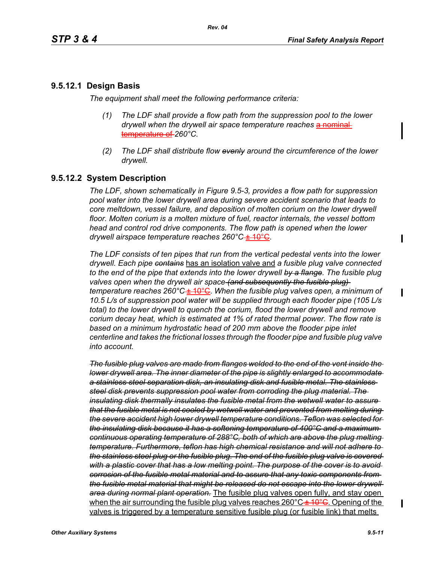# **9.5.12.1 Design Basis**

*The equipment shall meet the following performance criteria:*

- *(1) The LDF shall provide a flow path from the suppression pool to the lower drywell when the drywell air space <i>temperature reaches* a nominal temperature of *260°C.*
- *(2) The LDF shall distribute flow evenly around the circumference of the lower drywell.*

# **9.5.12.2 System Description**

*The LDF, shown schematically in Figure 9.5-3, provides a flow path for suppression pool water into the lower drywell area during severe accident scenario that leads to core meltdown, vessel failure, and deposition of molten corium on the lower drywell* floor. Molten corium is a molten mixture of fuel, reactor internals, the vessel bottom *head and control rod drive components. The flow path is opened when the lower drywell airspace temperature reaches 260°C* ± 10°C.

*The LDF consists of ten pipes that run from the vertical pedestal vents into the lower drywell. Each pipe contains* has an isolation valve and *a fusible plug valve connected to the end of the pipe that extends into the lower drywell by a flange. The fusible plug valves open when the drywell air space (and subsequently the fusible plug) temperature reaches 260°C* ± 10°C. *When the fusible plug valves open, a minimum of 10.5 L/s of suppression pool water will be supplied through each flooder pipe (105 L/s total) to the lower drywell to quench the corium, flood the lower drywell and remove corium decay heat, which is estimated at 1% of rated thermal power. The flow rate is*  based on a minimum hydrostatic head of 200 mm above the flooder pipe inlet *centerline and takes the frictional losses through the flooder pipe and fusible plug valve into account.*

*The fusible plug valves are made from flanges welded to the end of the vent inside the lower drywell area. The inner diameter of the pipe is slightly enlarged to accommodate a stainless steel separation disk, an insulating disk and fusible metal. The stainless steel disk prevents suppression pool water from corroding the plug material. The insulating disk thermally insulates the fusible metal from the wetwell water to assure that the fusible metal is not cooled by wetwell water and prevented from melting during the severe accident high lower drywell temperature conditions. Teflon was selected for the insulating disk because it has a softening temperature of 400°C and a maximum continuous operating temperature of 288°C, both of which are above the plug melting temperature. Furthermore, teflon has high chemical resistance and will not adhere to the stainless steel plug or the fusible plug. The end of the fusible plug valve is covered*  with a plastic cover that has a low melting point. The purpose of the cover is to avoid*corrosion of the fusible metal material and to assure that any toxic components from the fusible metal material that might be released do not escape into the lower drywell area during normal plant operation.* The fusible plug valves open fully, and stay open when the air surrounding the fusible plug valves reaches  $260^{\circ}C + 10^{\circ}G$ . Opening of the valves is triggered by a temperature sensitive fusible plug (or fusible link) that melts

 $\blacksquare$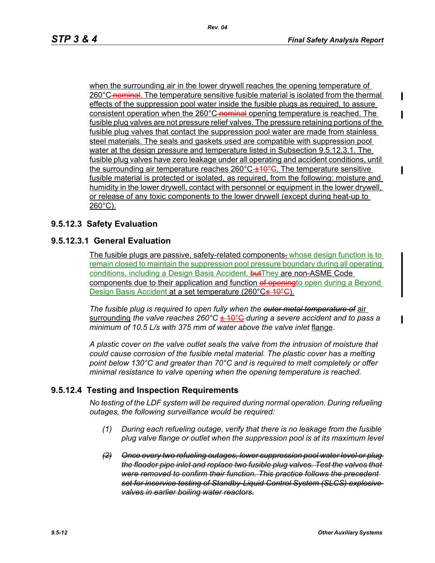when the surrounding air in the lower drywell reaches the opening temperature of 260°C nominal. The temperature sensitive fusible material is isolated from the thermal effects of the suppression pool water inside the fusible plugs as required, to assure consistent operation when the 260°C-nominal opening temperature is reached. The fusible plug valves are not pressure relief valves. The pressure retaining portions of the fusible plug valves that contact the suppression pool water are made from stainless steel materials. The seals and gaskets used are compatible with suppression pool water at the design pressure and temperature listed in Subsection 9.5.12.3.1. The fusible plug valves have zero leakage under all operating and accident conditions, until the surrounding air temperature reaches 260°C  $\pm 10^{\circ}$ G. The temperature sensitive fusible material is protected or isolated, as required, from the following: moisture and humidity in the lower drywell, contact with personnel or equipment in the lower drywell, or release of any toxic components to the lower drywell (except during heat-up to 260°C).

# **9.5.12.3 Safety Evaluation**

#### **9.5.12.3.1 General Evaluation**

The fusible plugs are passive, safety-related components, whose design function is to remain closed to maintain the suppression pool pressure boundary during all operating conditions, including a Design Basis Accident. but They are non-ASME Code components due to their application and function of openingto open during a Beyond Design Basis Accident at a set temperature (260°C<del>± 10°C</del>).

*The fusible plug is required to open fully when the outer metal temperature of* air surrounding *the valve reaches 260°C* ± 10°C *during a severe accident and to pass a minimum of 10.5 L/s with 375 mm of water above the valve inlet* flange.

*A plastic cover on the valve outlet seals the valve from the intrusion of moisture that could cause corrosion of the fusible metal material. The plastic cover has a melting point below 130°C and greater than 70°C and is required to melt completely or offer minimal resistance to valve opening when the opening temperature is reached.*

# **9.5.12.4 Testing and Inspection Requirements**

*No testing of the LDF system will be required during normal operation. During refueling outages, the following surveillance would be required:*

- *(1) During each refueling outage, verify that there is no leakage from the fusible plug valve flange or outlet when the suppression pool is at its maximum level*
- *(2) Once every two refueling outages, lower suppression pool water level or plug the flooder pipe inlet and replace two fusible plug valves. Test the valves that were removed to confirm their function. This practice follows the precedent set for inservice testing of Standby-Liquid Control System (SLCS) explosive valves in earlier boiling water reactors.*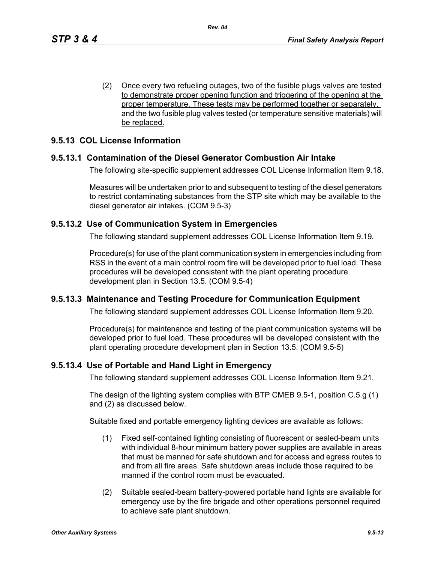(2) Once every two refueling outages, two of the fusible plugs valves are tested to demonstrate proper opening function and triggering of the opening at the proper temperature. These tests may be performed together or separately, and the two fusible plug valves tested (or temperature sensitive materials) will be replaced.

# **9.5.13 COL License Information**

# **9.5.13.1 Contamination of the Diesel Generator Combustion Air Intake**

The following site-specific supplement addresses COL License Information Item 9.18.

Measures will be undertaken prior to and subsequent to testing of the diesel generators to restrict contaminating substances from the STP site which may be available to the diesel generator air intakes. (COM 9.5-3)

#### **9.5.13.2 Use of Communication System in Emergencies**

The following standard supplement addresses COL License Information Item 9.19.

Procedure(s) for use of the plant communication system in emergencies including from RSS in the event of a main control room fire will be developed prior to fuel load. These procedures will be developed consistent with the plant operating procedure development plan in Section 13.5. (COM 9.5-4)

#### **9.5.13.3 Maintenance and Testing Procedure for Communication Equipment**

The following standard supplement addresses COL License Information Item 9.20.

Procedure(s) for maintenance and testing of the plant communication systems will be developed prior to fuel load. These procedures will be developed consistent with the plant operating procedure development plan in Section 13.5. (COM 9.5-5)

#### **9.5.13.4 Use of Portable and Hand Light in Emergency**

The following standard supplement addresses COL License Information Item 9.21.

The design of the lighting system complies with BTP CMEB 9.5-1, position C.5.g (1) and (2) as discussed below.

Suitable fixed and portable emergency lighting devices are available as follows:

- (1) Fixed self-contained lighting consisting of fluorescent or sealed-beam units with individual 8-hour minimum battery power supplies are available in areas that must be manned for safe shutdown and for access and egress routes to and from all fire areas. Safe shutdown areas include those required to be manned if the control room must be evacuated.
- (2) Suitable sealed-beam battery-powered portable hand lights are available for emergency use by the fire brigade and other operations personnel required to achieve safe plant shutdown.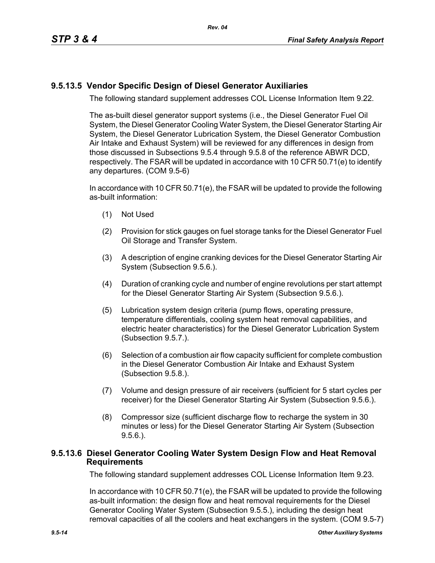# **9.5.13.5 Vendor Specific Design of Diesel Generator Auxiliaries**

The following standard supplement addresses COL License Information Item 9.22.

The as-built diesel generator support systems (i.e., the Diesel Generator Fuel Oil System, the Diesel Generator Cooling Water System, the Diesel Generator Starting Air System, the Diesel Generator Lubrication System, the Diesel Generator Combustion Air Intake and Exhaust System) will be reviewed for any differences in design from those discussed in Subsections 9.5.4 through 9.5.8 of the reference ABWR DCD, respectively. The FSAR will be updated in accordance with 10 CFR 50.71(e) to identify any departures. (COM 9.5-6)

In accordance with 10 CFR 50.71(e), the FSAR will be updated to provide the following as-built information:

- (1) Not Used
- (2) Provision for stick gauges on fuel storage tanks for the Diesel Generator Fuel Oil Storage and Transfer System.
- (3) A description of engine cranking devices for the Diesel Generator Starting Air System (Subsection 9.5.6.).
- (4) Duration of cranking cycle and number of engine revolutions per start attempt for the Diesel Generator Starting Air System (Subsection 9.5.6.).
- (5) Lubrication system design criteria (pump flows, operating pressure, temperature differentials, cooling system heat removal capabilities, and electric heater characteristics) for the Diesel Generator Lubrication System (Subsection 9.5.7.).
- (6) Selection of a combustion air flow capacity sufficient for complete combustion in the Diesel Generator Combustion Air Intake and Exhaust System (Subsection 9.5.8.).
- (7) Volume and design pressure of air receivers (sufficient for 5 start cycles per receiver) for the Diesel Generator Starting Air System (Subsection 9.5.6.).
- (8) Compressor size (sufficient discharge flow to recharge the system in 30 minutes or less) for the Diesel Generator Starting Air System (Subsection 9.5.6.).

#### **9.5.13.6 Diesel Generator Cooling Water System Design Flow and Heat Removal Requirements**

The following standard supplement addresses COL License Information Item 9.23.

In accordance with 10 CFR 50.71(e), the FSAR will be updated to provide the following as-built information: the design flow and heat removal requirements for the Diesel Generator Cooling Water System (Subsection 9.5.5.), including the design heat removal capacities of all the coolers and heat exchangers in the system. (COM 9.5-7)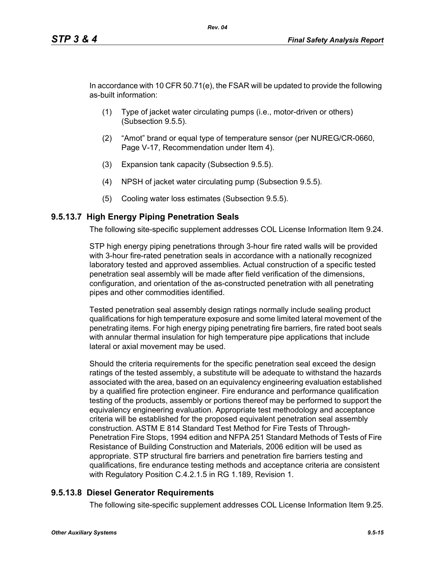In accordance with 10 CFR 50.71(e), the FSAR will be updated to provide the following as-built information:

- (1) Type of jacket water circulating pumps (i.e., motor-driven or others) (Subsection 9.5.5).
- (2) "Amot" brand or equal type of temperature sensor (per NUREG/CR-0660, Page V-17, Recommendation under Item 4).
- (3) Expansion tank capacity (Subsection 9.5.5).
- (4) NPSH of jacket water circulating pump (Subsection 9.5.5).
- (5) Cooling water loss estimates (Subsection 9.5.5).

#### **9.5.13.7 High Energy Piping Penetration Seals**

The following site-specific supplement addresses COL License Information Item 9.24.

STP high energy piping penetrations through 3-hour fire rated walls will be provided with 3-hour fire-rated penetration seals in accordance with a nationally recognized laboratory tested and approved assemblies. Actual construction of a specific tested penetration seal assembly will be made after field verification of the dimensions, configuration, and orientation of the as-constructed penetration with all penetrating pipes and other commodities identified.

Tested penetration seal assembly design ratings normally include sealing product qualifications for high temperature exposure and some limited lateral movement of the penetrating items. For high energy piping penetrating fire barriers, fire rated boot seals with annular thermal insulation for high temperature pipe applications that include lateral or axial movement may be used.

Should the criteria requirements for the specific penetration seal exceed the design ratings of the tested assembly, a substitute will be adequate to withstand the hazards associated with the area, based on an equivalency engineering evaluation established by a qualified fire protection engineer. Fire endurance and performance qualification testing of the products, assembly or portions thereof may be performed to support the equivalency engineering evaluation. Appropriate test methodology and acceptance criteria will be established for the proposed equivalent penetration seal assembly construction. ASTM E 814 Standard Test Method for Fire Tests of Through-Penetration Fire Stops, 1994 edition and NFPA 251 Standard Methods of Tests of Fire Resistance of Building Construction and Materials, 2006 edition will be used as appropriate. STP structural fire barriers and penetration fire barriers testing and qualifications, fire endurance testing methods and acceptance criteria are consistent with Regulatory Position C.4.2.1.5 in RG 1.189, Revision 1.

#### **9.5.13.8 Diesel Generator Requirements**

The following site-specific supplement addresses COL License Information Item 9.25.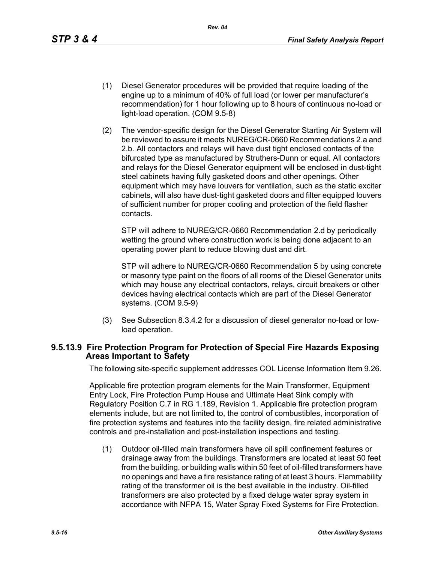*Rev. 04*

- (1) Diesel Generator procedures will be provided that require loading of the engine up to a minimum of 40% of full load (or lower per manufacturer's recommendation) for 1 hour following up to 8 hours of continuous no-load or light-load operation. (COM 9.5-8)
- (2) The vendor-specific design for the Diesel Generator Starting Air System will be reviewed to assure it meets NUREG/CR-0660 Recommendations 2.a and 2.b. All contactors and relays will have dust tight enclosed contacts of the bifurcated type as manufactured by Struthers-Dunn or equal. All contactors and relays for the Diesel Generator equipment will be enclosed in dust-tight steel cabinets having fully gasketed doors and other openings. Other equipment which may have louvers for ventilation, such as the static exciter cabinets, will also have dust-tight gasketed doors and filter equipped louvers of sufficient number for proper cooling and protection of the field flasher contacts.

STP will adhere to NUREG/CR-0660 Recommendation 2.d by periodically wetting the ground where construction work is being done adjacent to an operating power plant to reduce blowing dust and dirt.

STP will adhere to NUREG/CR-0660 Recommendation 5 by using concrete or masonry type paint on the floors of all rooms of the Diesel Generator units which may house any electrical contactors, relays, circuit breakers or other devices having electrical contacts which are part of the Diesel Generator systems. (COM 9.5-9)

(3) See Subsection 8.3.4.2 for a discussion of diesel generator no-load or lowload operation.

#### **9.5.13.9 Fire Protection Program for Protection of Special Fire Hazards Exposing Areas Important to Safety**

The following site-specific supplement addresses COL License Information Item 9.26.

Applicable fire protection program elements for the Main Transformer, Equipment Entry Lock, Fire Protection Pump House and Ultimate Heat Sink comply with Regulatory Position C.7 in RG 1.189, Revision 1. Applicable fire protection program elements include, but are not limited to, the control of combustibles, incorporation of fire protection systems and features into the facility design, fire related administrative controls and pre-installation and post-installation inspections and testing.

(1) Outdoor oil-filled main transformers have oil spill confinement features or drainage away from the buildings. Transformers are located at least 50 feet from the building, or building walls within 50 feet of oil-filled transformers have no openings and have a fire resistance rating of at least 3 hours. Flammability rating of the transformer oil is the best available in the industry. Oil-filled transformers are also protected by a fixed deluge water spray system in accordance with NFPA 15, Water Spray Fixed Systems for Fire Protection.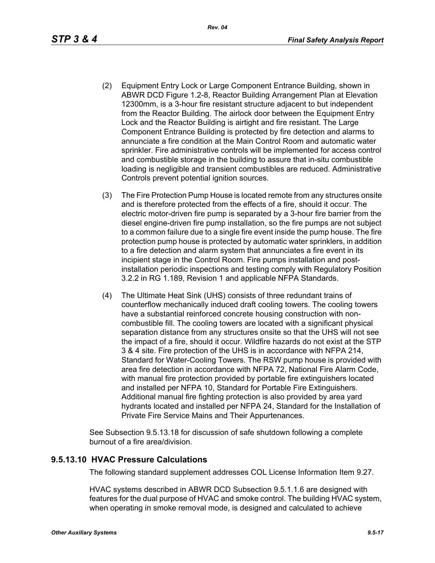- (2) Equipment Entry Lock or Large Component Entrance Building, shown in ABWR DCD Figure 1.2-8, Reactor Building Arrangement Plan at Elevation 12300mm, is a 3-hour fire resistant structure adjacent to but independent from the Reactor Building. The airlock door between the Equipment Entry Lock and the Reactor Building is airtight and fire resistant. The Large Component Entrance Building is protected by fire detection and alarms to annunciate a fire condition at the Main Control Room and automatic water sprinkler. Fire administrative controls will be implemented for access control and combustible storage in the building to assure that in-situ combustible loading is negligible and transient combustibles are reduced. Administrative Controls prevent potential ignition sources.
- (3) The Fire Protection Pump House is located remote from any structures onsite and is therefore protected from the effects of a fire, should it occur. The electric motor-driven fire pump is separated by a 3-hour fire barrier from the diesel engine-driven fire pump installation, so the fire pumps are not subject to a common failure due to a single fire event inside the pump house. The fire protection pump house is protected by automatic water sprinklers, in addition to a fire detection and alarm system that annunciates a fire event in its incipient stage in the Control Room. Fire pumps installation and postinstallation periodic inspections and testing comply with Regulatory Position 3.2.2 in RG 1.189, Revision 1 and applicable NFPA Standards.
- (4) The Ultimate Heat Sink (UHS) consists of three redundant trains of counterflow mechanically induced draft cooling towers. The cooling towers have a substantial reinforced concrete housing construction with noncombustible fill. The cooling towers are located with a significant physical separation distance from any structures onsite so that the UHS will not see the impact of a fire, should it occur. Wildfire hazards do not exist at the STP 3 & 4 site. Fire protection of the UHS is in accordance with NFPA 214, Standard for Water-Cooling Towers. The RSW pump house is provided with area fire detection in accordance with NFPA 72, National Fire Alarm Code, with manual fire protection provided by portable fire extinguishers located and installed per NFPA 10, Standard for Portable Fire Extinguishers. Additional manual fire fighting protection is also provided by area yard hydrants located and installed per NFPA 24, Standard for the Installation of Private Fire Service Mains and Their Appurtenances.

See Subsection 9.5.13.18 for discussion of safe shutdown following a complete burnout of a fire area/division.

#### **9.5.13.10 HVAC Pressure Calculations**

The following standard supplement addresses COL License Information Item 9.27.

HVAC systems described in ABWR DCD Subsection 9.5.1.1.6 are designed with features for the dual purpose of HVAC and smoke control. The building HVAC system, when operating in smoke removal mode, is designed and calculated to achieve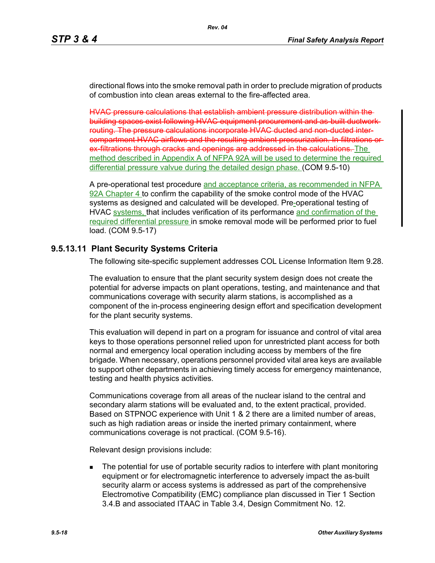directional flows into the smoke removal path in order to preclude migration of products of combustion into clean areas external to the fire-affected area.

HVAC pressure calculations that establish ambient pressure distribution within the building spaces exist following HVAC equipment procurement and as-built ductwork routing. The pressure calculations incorporate HVAC ducted and non-ducted intercompartment HVAC airflows and the resulting ambient pressurization. In-filtrations or ex filtrations through cracks and openings are addressed in the calculations. The method described in Appendix A of NFPA 92A will be used to determine the required differential pressure valvue during the detailed design phase. (COM 9.5-10)

A pre-operational test procedure and acceptance criteria, as recommended in NFPA 92A Chapter 4 to confirm the capability of the smoke control mode of the HVAC systems as designed and calculated will be developed. Pre-operational testing of HVAC systems, that includes verification of its performance and confirmation of the required differential pressure in smoke removal mode will be performed prior to fuel load. (COM 9.5-17)

# **9.5.13.11 Plant Security Systems Criteria**

The following site-specific supplement addresses COL License Information Item 9.28.

The evaluation to ensure that the plant security system design does not create the potential for adverse impacts on plant operations, testing, and maintenance and that communications coverage with security alarm stations, is accomplished as a component of the in-process engineering design effort and specification development for the plant security systems.

This evaluation will depend in part on a program for issuance and control of vital area keys to those operations personnel relied upon for unrestricted plant access for both normal and emergency local operation including access by members of the fire brigade. When necessary, operations personnel provided vital area keys are available to support other departments in achieving timely access for emergency maintenance, testing and health physics activities.

Communications coverage from all areas of the nuclear island to the central and secondary alarm stations will be evaluated and, to the extent practical, provided. Based on STPNOC experience with Unit 1 & 2 there are a limited number of areas, such as high radiation areas or inside the inerted primary containment, where communications coverage is not practical. (COM 9.5-16).

Relevant design provisions include:

 The potential for use of portable security radios to interfere with plant monitoring equipment or for electromagnetic interference to adversely impact the as-built security alarm or access systems is addressed as part of the comprehensive Electromotive Compatibility (EMC) compliance plan discussed in Tier 1 Section 3.4.B and associated ITAAC in Table 3.4, Design Commitment No. 12.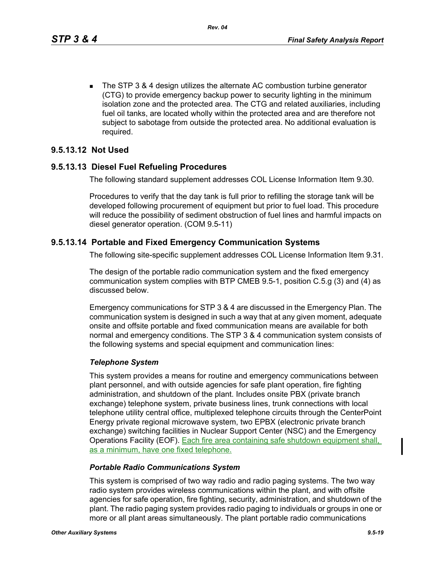■ The STP 3 & 4 design utilizes the alternate AC combustion turbine generator (CTG) to provide emergency backup power to security lighting in the minimum isolation zone and the protected area. The CTG and related auxiliaries, including fuel oil tanks, are located wholly within the protected area and are therefore not subject to sabotage from outside the protected area. No additional evaluation is required.

# **9.5.13.12 Not Used**

#### **9.5.13.13 Diesel Fuel Refueling Procedures**

The following standard supplement addresses COL License Information Item 9.30.

Procedures to verify that the day tank is full prior to refilling the storage tank will be developed following procurement of equipment but prior to fuel load. This procedure will reduce the possibility of sediment obstruction of fuel lines and harmful impacts on diesel generator operation. (COM 9.5-11)

# **9.5.13.14 Portable and Fixed Emergency Communication Systems**

The following site-specific supplement addresses COL License Information Item 9.31.

The design of the portable radio communication system and the fixed emergency communication system complies with BTP CMEB 9.5-1, position C.5.g (3) and (4) as discussed below.

Emergency communications for STP 3 & 4 are discussed in the Emergency Plan. The communication system is designed in such a way that at any given moment, adequate onsite and offsite portable and fixed communication means are available for both normal and emergency conditions. The STP 3 & 4 communication system consists of the following systems and special equipment and communication lines:

#### *Telephone System*

This system provides a means for routine and emergency communications between plant personnel, and with outside agencies for safe plant operation, fire fighting administration, and shutdown of the plant. Includes onsite PBX (private branch exchange) telephone system, private business lines, trunk connections with local telephone utility central office, multiplexed telephone circuits through the CenterPoint Energy private regional microwave system, two EPBX (electronic private branch exchange) switching facilities in Nuclear Support Center (NSC) and the Emergency Operations Facility (EOF). Each fire area containing safe shutdown equipment shall, as a minimum, have one fixed telephone.

#### *Portable Radio Communications System*

This system is comprised of two way radio and radio paging systems. The two way radio system provides wireless communications within the plant, and with offsite agencies for safe operation, fire fighting, security, administration, and shutdown of the plant. The radio paging system provides radio paging to individuals or groups in one or more or all plant areas simultaneously. The plant portable radio communications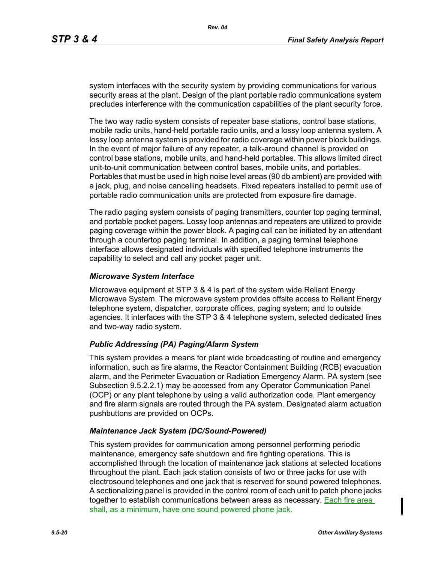system interfaces with the security system by providing communications for various security areas at the plant. Design of the plant portable radio communications system precludes interference with the communication capabilities of the plant security force.

The two way radio system consists of repeater base stations, control base stations, mobile radio units, hand-held portable radio units, and a lossy loop antenna system. A lossy loop antenna system is provided for radio coverage within power block buildings. In the event of major failure of any repeater, a talk-around channel is provided on control base stations, mobile units, and hand-held portables. This allows limited direct unit-to-unit communication between control bases, mobile units, and portables. Portables that must be used in high noise level areas (90 db ambient) are provided with a jack, plug, and noise cancelling headsets. Fixed repeaters installed to permit use of portable radio communication units are protected from exposure fire damage.

The radio paging system consists of paging transmitters, counter top paging terminal, and portable pocket pagers. Lossy loop antennas and repeaters are utilized to provide paging coverage within the power block. A paging call can be initiated by an attendant through a countertop paging terminal. In addition, a paging terminal telephone interface allows designated individuals with specified telephone instruments the capability to select and call any pocket pager unit.

#### *Microwave System Interface*

Microwave equipment at STP 3 & 4 is part of the system wide Reliant Energy Microwave System. The microwave system provides offsite access to Reliant Energy telephone system, dispatcher, corporate offices, paging system; and to outside agencies. It interfaces with the STP 3 & 4 telephone system, selected dedicated lines and two-way radio system.

#### *Public Addressing (PA) Paging/Alarm System*

This system provides a means for plant wide broadcasting of routine and emergency information, such as fire alarms, the Reactor Containment Building (RCB) evacuation alarm, and the Perimeter Evacuation or Radiation Emergency Alarm. PA system (see Subsection 9.5.2.2.1) may be accessed from any Operator Communication Panel (OCP) or any plant telephone by using a valid authorization code. Plant emergency and fire alarm signals are routed through the PA system. Designated alarm actuation pushbuttons are provided on OCPs.

#### *Maintenance Jack System (DC/Sound-Powered)*

This system provides for communication among personnel performing periodic maintenance, emergency safe shutdown and fire fighting operations. This is accomplished through the location of maintenance jack stations at selected locations throughout the plant. Each jack station consists of two or three jacks for use with electrosound telephones and one jack that is reserved for sound powered telephones. A sectionalizing panel is provided in the control room of each unit to patch phone jacks together to establish communications between areas as necessary. Each fire area shall, as a minimum, have one sound powered phone jack.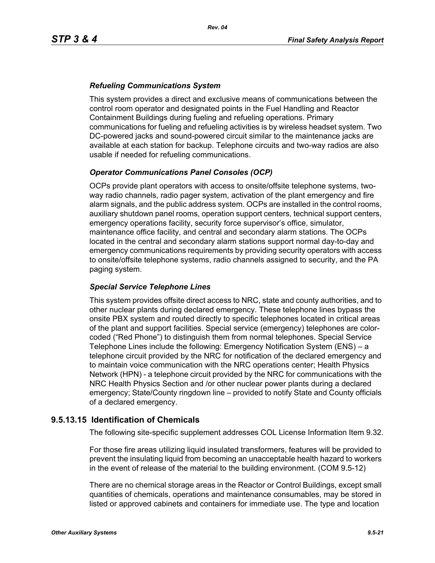### *Refueling Communications System*

This system provides a direct and exclusive means of communications between the control room operator and designated points in the Fuel Handling and Reactor Containment Buildings during fueling and refueling operations. Primary communications for fueling and refueling activities is by wireless headset system. Two DC-powered jacks and sound-powered circuit similar to the maintenance jacks are available at each station for backup. Telephone circuits and two-way radios are also usable if needed for refueling communications.

# *Operator Communications Panel Consoles (OCP)*

OCPs provide plant operators with access to onsite/offsite telephone systems, twoway radio channels, radio pager system, activation of the plant emergency and fire alarm signals, and the public address system. OCPs are installed in the control rooms, auxiliary shutdown panel rooms, operation support centers, technical support centers, emergency operations facility, security force supervisor's office, simulator, maintenance office facility, and central and secondary alarm stations. The OCPs located in the central and secondary alarm stations support normal day-to-day and emergency communications requirements by providing security operators with access to onsite/offsite telephone systems, radio channels assigned to security, and the PA paging system.

#### *Special Service Telephone Lines*

This system provides offsite direct access to NRC, state and county authorities, and to other nuclear plants during declared emergency. These telephone lines bypass the onsite PBX system and routed directly to specific telephones located in critical areas of the plant and support facilities. Special service (emergency) telephones are colorcoded ("Red Phone") to distinguish them from normal telephones. Special Service Telephone Lines include the following: Emergency Notification System (ENS) – a telephone circuit provided by the NRC for notification of the declared emergency and to maintain voice communication with the NRC operations center; Health Physics Network (HPN) - a telephone circuit provided by the NRC for communications with the NRC Health Physics Section and /or other nuclear power plants during a declared emergency; State/County ringdown line – provided to notify State and County officials of a declared emergency.

#### **9.5.13.15 Identification of Chemicals**

The following site-specific supplement addresses COL License Information Item 9.32.

For those fire areas utilizing liquid insulated transformers, features will be provided to prevent the insulating liquid from becoming an unacceptable health hazard to workers in the event of release of the material to the building environment. (COM 9.5-12)

There are no chemical storage areas in the Reactor or Control Buildings, except small quantities of chemicals, operations and maintenance consumables, may be stored in listed or approved cabinets and containers for immediate use. The type and location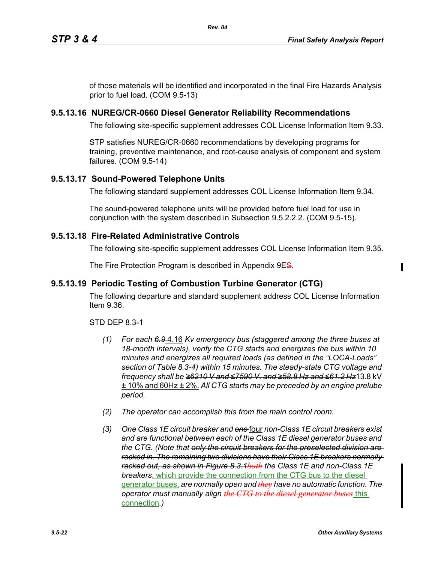of those materials will be identified and incorporated in the final Fire Hazards Analysis prior to fuel load. (COM 9.5-13)

*Rev. 04*

# **9.5.13.16 NUREG/CR-0660 Diesel Generator Reliability Recommendations**

The following site-specific supplement addresses COL License Information Item 9.33.

STP satisfies NUREG/CR-0660 recommendations by developing programs for training, preventive maintenance, and root-cause analysis of component and system failures. (COM 9.5-14)

# **9.5.13.17 Sound-Powered Telephone Units**

The following standard supplement addresses COL License Information Item 9.34.

The sound-powered telephone units will be provided before fuel load for use in conjunction with the system described in Subsection 9.5.2.2.2. (COM 9.5-15).

#### **9.5.13.18 Fire-Related Administrative Controls**

The following site-specific supplement addresses COL License Information Item 9.35.

The Fire Protection Program is described in Appendix 9ES.

# **9.5.13.19 Periodic Testing of Combustion Turbine Generator (CTG)**

The following departure and standard supplement address COL License Information Item 9.36.

#### STD DEP 8.3-1

- *(1) For each 6.9* 4.16 *Kv emergency bus (staggered among the three buses at 18-month intervals), verify the CTG starts and energizes the bus within 10 minutes and energizes all required loads (as defined in the "LOCA-Loads" section of Table 8.3-4) within 15 minutes. The steady-state CTG voltage and frequency shall be ≥6210 V and ≤7590 V, and ≥58.8 Hz and ≤61.2 Hz*13.8 kV ± 10% and 60Hz ± 2%. *All CTG starts may be preceded by an engine prelube period.*
- *(2) The operator can accomplish this from the main control room.*
- *(3) One Class 1E circuit breaker and one* four *non-Class 1E circuit breaker*s *exist and are functional between each of the Class 1E diesel generator buses and the CTG. (Note that only the circuit breakers for the preselected division are racked in. The remaining two divisions have their Class 1E breakers normally racked out, as shown in Figure 8.3.1both the Class 1E and non-Class 1E breakers*, which provide the connection from the CTG bus to the diesel generator buses, *are normally open and they have no automatic function. The operator must manually align the CTG to the diesel generator buses* this connection*.)*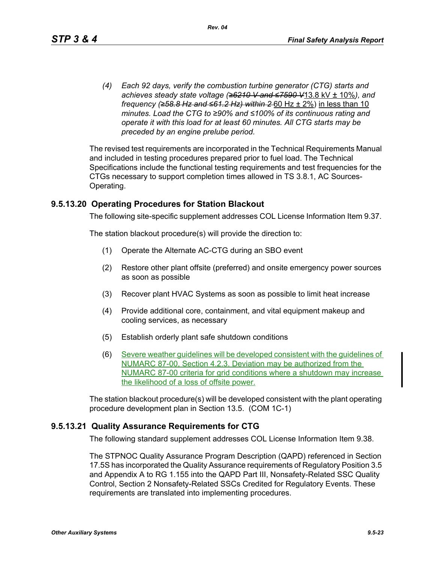*(4) Each 92 days, verify the combustion turbine generator (CTG) starts and achieves steady state voltage (≥6210 V and ≤7590 V*13.8 kV ± 10%*), and frequency (≥58.8 Hz and ≤61.2 Hz) within 2* 60 Hz ± 2%) in less than 10 *minutes. Load the CTG to ≥90% and ≤100% of its continuous rating and operate it with this load for at least 60 minutes. All CTG starts may be preceded by an engine prelube period.*

The revised test requirements are incorporated in the Technical Requirements Manual and included in testing procedures prepared prior to fuel load. The Technical Specifications include the functional testing requirements and test frequencies for the CTGs necessary to support completion times allowed in TS 3.8.1, AC Sources-Operating.

#### **9.5.13.20 Operating Procedures for Station Blackout**

The following site-specific supplement addresses COL License Information Item 9.37.

The station blackout procedure(s) will provide the direction to:

- (1) Operate the Alternate AC-CTG during an SBO event
- (2) Restore other plant offsite (preferred) and onsite emergency power sources as soon as possible
- (3) Recover plant HVAC Systems as soon as possible to limit heat increase
- (4) Provide additional core, containment, and vital equipment makeup and cooling services, as necessary
- (5) Establish orderly plant safe shutdown conditions
- (6) Severe weather guidelines will be developed consistent with the guidelines of NUMARC 87-00, Section 4.2.3. Deviation may be authorized from the NUMARC 87-00 criteria for grid conditions where a shutdown may increase the likelihood of a loss of offsite power.

The station blackout procedure(s) will be developed consistent with the plant operating procedure development plan in Section 13.5. (COM 1C-1)

#### **9.5.13.21 Quality Assurance Requirements for CTG**

The following standard supplement addresses COL License Information Item 9.38.

The STPNOC Quality Assurance Program Description (QAPD) referenced in Section 17.5S has incorporated the Quality Assurance requirements of Regulatory Position 3.5 and Appendix A to RG 1.155 into the QAPD Part III, Nonsafety-Related SSC Quality Control, Section 2 Nonsafety-Related SSCs Credited for Regulatory Events. These requirements are translated into implementing procedures.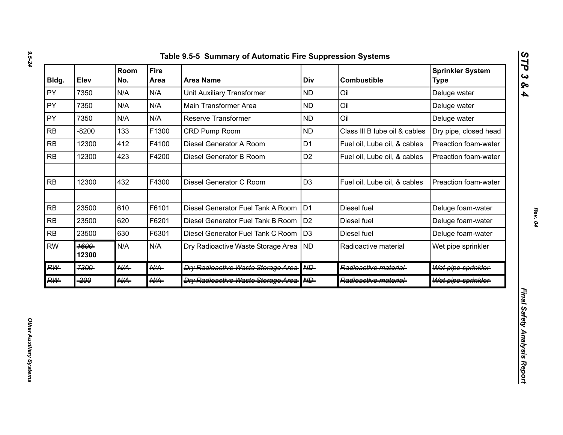| Bldg.     | Elev          | Room<br>No.     | <b>Fire</b><br>Area | <b>Area Name</b>                          | Div            | <b>Combustible</b>            | <b>Sprinkler System</b><br><b>Type</b> |
|-----------|---------------|-----------------|---------------------|-------------------------------------------|----------------|-------------------------------|----------------------------------------|
| PY        | 7350          | N/A             | N/A                 | <b>Unit Auxiliary Transformer</b>         | <b>ND</b>      | Oil                           | Deluge water                           |
| PY        | 7350          | N/A             | N/A                 | Main Transformer Area                     | <b>ND</b>      | Oil                           | Deluge water                           |
| PY        | 7350          | N/A             | N/A                 | Reserve Transformer                       | <b>ND</b>      | Oil                           | Deluge water                           |
| <b>RB</b> | $-8200$       | 133             | F1300               | CRD Pump Room                             | <b>ND</b>      | Class III B lube oil & cables | Dry pipe, closed head                  |
| <b>RB</b> | 12300         | 412             | F4100               | Diesel Generator A Room                   | D <sub>1</sub> | Fuel oil, Lube oil, & cables  | Preaction foam-water                   |
| <b>RB</b> | 12300         | 423             | F4200               | Diesel Generator B Room                   | D <sub>2</sub> | Fuel oil, Lube oil, & cables  | Preaction foam-water                   |
| <b>RB</b> | 12300         | 432             | F4300               | Diesel Generator C Room                   | D <sub>3</sub> | Fuel oil, Lube oil, & cables  | Preaction foam-water                   |
| RB        | 23500         | 610             | F6101               | Diesel Generator Fuel Tank A Room         | D <sub>1</sub> | Diesel fuel                   | Deluge foam-water                      |
| RB        | 23500         | 620             | F6201               | Diesel Generator Fuel Tank B Room         | D <sub>2</sub> | Diesel fuel                   | Deluge foam-water                      |
| <b>RB</b> | 23500         | 630             | F6301               | Diesel Generator Fuel Tank C Room         | D <sub>3</sub> | Diesel fuel                   | Deluge foam-water                      |
| <b>RW</b> | 1600<br>12300 | N/A             | N/A                 | Dry Radioactive Waste Storage Area   ND   |                | Radioactive material          | Wet pipe sprinkler                     |
| <b>RW</b> | 7300          | $A\mathcal{U}A$ | $A\mathcal{U}A$     | <b>Dry Radioactive Waste Storage Area</b> | HHD-           | Radioactive material-         | Wet pipe sprinkler                     |
| <b>RW</b> | -200          | <b>N/A</b>      | <b>N/A</b>          | <b>Dry Radioactive Waste Storage Area</b> | AID            | Radioactive material-         | Wet pipe sprinkler                     |

*STP 3 & 4*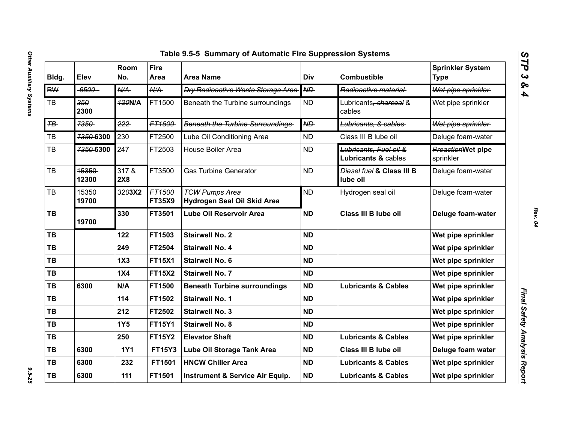| Table 9.5-5 Summary of Automatic Fire Suppression Systems |                |                 |                         |                                                      |            |                                                          |                                        |
|-----------------------------------------------------------|----------------|-----------------|-------------------------|------------------------------------------------------|------------|----------------------------------------------------------|----------------------------------------|
| Bldg.                                                     | Elev           | Room<br>No.     | <b>Fire</b><br>Area     | <b>Area Name</b>                                     | <b>Div</b> | <b>Combustible</b>                                       | <b>Sprinkler System</b><br><b>Type</b> |
| <b>RW</b>                                                 | $-6500-$       | $A\mathcal{U}A$ | A/A                     | <b>Dry Radioactive Waste Storage Area</b>            | ND         | Radioactive material                                     | Wet pipe sprinkler                     |
| TB                                                        | 350<br>2300    | <b>120N/A</b>   | FT1500                  | Beneath the Turbine surroundings                     | <b>ND</b>  | Lubricants, charcoal &<br>cables                         | Wet pipe sprinkler                     |
| $H\rightarrow$                                            | 7350           | 222             | FT1500-                 | <b>Beneath the Turbine Surroundings</b>              | ND         | Lubricants, & cables                                     | Wet pipe sprinkler                     |
| TB                                                        | 7350-6300      | 230             | FT2500                  | Lube Oil Conditioning Area                           | <b>ND</b>  | Class III B lube oil                                     | Deluge foam-water                      |
| TB                                                        | 7350-6300      | 247             | FT2503                  | House Boiler Area                                    | <b>ND</b>  | Lubricants, Fuel oil &<br><b>Lubricants &amp; cables</b> | PreactionWet pipe<br>sprinkler         |
| TB                                                        | 15350<br>12300 | 317 &<br>2X8    | FT3500                  | <b>Gas Turbine Generator</b>                         | <b>ND</b>  | Diesel fuel & Class III B<br>lube oil                    | Deluge foam-water                      |
| TB                                                        | 15350<br>19700 | 3203X2          | FT1500<br><b>FT35X9</b> | <b>TGW Pumps Area</b><br>Hydrogen Seal Oil Skid Area | <b>ND</b>  | Hydrogen seal oil                                        | Deluge foam-water                      |
| <b>TB</b>                                                 | 19700          | 330             | FT3501                  | <b>Lube Oil Reservoir Area</b>                       | <b>ND</b>  | Class III B lube oil                                     | Deluge foam-water                      |
| TB                                                        |                | 122             | FT1503                  | <b>Stairwell No. 2</b>                               | <b>ND</b>  |                                                          | Wet pipe sprinkler                     |
| TB                                                        |                | 249             | FT2504                  | <b>Stairwell No. 4</b>                               | <b>ND</b>  |                                                          | Wet pipe sprinkler                     |
| <b>TB</b>                                                 |                | 1X3             | <b>FT15X1</b>           | <b>Stairwell No. 6</b>                               | <b>ND</b>  |                                                          | Wet pipe sprinkler                     |
| <b>TB</b>                                                 |                | 1X4             | <b>FT15X2</b>           | <b>Stairwell No. 7</b>                               | <b>ND</b>  |                                                          | Wet pipe sprinkler                     |
| TB                                                        | 6300           | N/A             | FT1500                  | <b>Beneath Turbine surroundings</b>                  | <b>ND</b>  | <b>Lubricants &amp; Cables</b>                           | Wet pipe sprinkler                     |
| TB                                                        |                | 114             | FT1502                  | <b>Stairwell No. 1</b>                               | <b>ND</b>  |                                                          | Wet pipe sprinkler                     |
| <b>TB</b>                                                 |                | 212             | FT2502                  | <b>Stairwell No. 3</b>                               | <b>ND</b>  |                                                          | Wet pipe sprinkler                     |
| <b>TB</b>                                                 |                | <b>1Y5</b>      | <b>FT15Y1</b>           | <b>Stairwell No. 8</b>                               | <b>ND</b>  |                                                          | Wet pipe sprinkler                     |
| TB                                                        |                | 250             | <b>FT15Y2</b>           | <b>Elevator Shaft</b>                                | <b>ND</b>  | <b>Lubricants &amp; Cables</b>                           | Wet pipe sprinkler                     |
| TB                                                        | 6300           | <b>1Y1</b>      | <b>FT15Y3</b>           | Lube Oil Storage Tank Area                           | <b>ND</b>  | Class III B lube oil                                     | Deluge foam water                      |
| TB                                                        | 6300           | 232             | FT1501                  | <b>HNCW Chiller Area</b>                             | <b>ND</b>  | <b>Lubricants &amp; Cables</b>                           | Wet pipe sprinkler                     |
| <b>TB</b>                                                 | 6300           | 111             | FT1501                  | <b>Instrument &amp; Service Air Equip.</b>           | <b>ND</b>  | <b>Lubricants &amp; Cables</b>                           | Wet pipe sprinkler                     |
|                                                           |                |                 |                         |                                                      |            |                                                          |                                        |

*STP 3 & 4*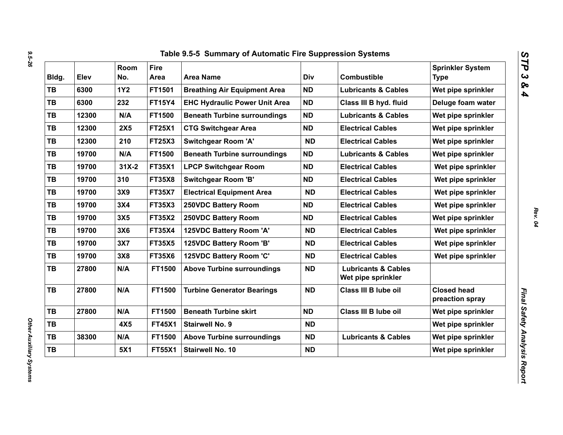| Bldg.     | Elev  | Room<br>No. | <b>Fire</b><br>Area | <b>Area Name</b>                     | Div       | <b>Combustible</b>                                   | <b>Sprinkler System</b><br><b>Type</b> |
|-----------|-------|-------------|---------------------|--------------------------------------|-----------|------------------------------------------------------|----------------------------------------|
| TB        | 6300  | <b>1Y2</b>  | FT1501              | <b>Breathing Air Equipment Area</b>  | <b>ND</b> | <b>Lubricants &amp; Cables</b>                       | Wet pipe sprinkler                     |
| TB        | 6300  | 232         | <b>FT15Y4</b>       | <b>EHC Hydraulic Power Unit Area</b> | <b>ND</b> | Class III B hyd. fluid                               | Deluge foam water                      |
| TB        | 12300 | N/A         | FT1500              | <b>Beneath Turbine surroundings</b>  | <b>ND</b> | <b>Lubricants &amp; Cables</b>                       | Wet pipe sprinkler                     |
| TB        | 12300 | <b>2X5</b>  | <b>FT25X1</b>       | <b>CTG Switchgear Area</b>           | <b>ND</b> | <b>Electrical Cables</b>                             | Wet pipe sprinkler                     |
| TB        | 12300 | 210         | <b>FT25X3</b>       | <b>Switchgear Room 'A'</b>           | <b>ND</b> | <b>Electrical Cables</b>                             | Wet pipe sprinkler                     |
| TB        | 19700 | N/A         | FT1500              | <b>Beneath Turbine surroundings</b>  | <b>ND</b> | <b>Lubricants &amp; Cables</b>                       | Wet pipe sprinkler                     |
| <b>TB</b> | 19700 | $31X-2$     | <b>FT35X1</b>       | <b>LPCP Switchgear Room</b>          | <b>ND</b> | <b>Electrical Cables</b>                             | Wet pipe sprinkler                     |
| <b>TB</b> | 19700 | 310         | <b>FT35X8</b>       | <b>Switchgear Room 'B'</b>           | <b>ND</b> | <b>Electrical Cables</b>                             | Wet pipe sprinkler                     |
| TB        | 19700 | 3X9         | <b>FT35X7</b>       | <b>Electrical Equipment Area</b>     | <b>ND</b> | <b>Electrical Cables</b>                             | Wet pipe sprinkler                     |
| TB        | 19700 | 3X4         | <b>FT35X3</b>       | <b>250VDC Battery Room</b>           | <b>ND</b> | <b>Electrical Cables</b>                             | Wet pipe sprinkler                     |
| TB        | 19700 | 3X5         | <b>FT35X2</b>       | 250VDC Battery Room                  | <b>ND</b> | <b>Electrical Cables</b>                             | Wet pipe sprinkler                     |
| TB        | 19700 | 3X6         | <b>FT35X4</b>       | 125VDC Battery Room 'A'              | <b>ND</b> | <b>Electrical Cables</b>                             | Wet pipe sprinkler                     |
| TB        | 19700 | 3X7         | <b>FT35X5</b>       | 125VDC Battery Room 'B'              | <b>ND</b> | <b>Electrical Cables</b>                             | Wet pipe sprinkler                     |
| TB        | 19700 | 3X8         | <b>FT35X6</b>       | 125VDC Battery Room 'C'              | <b>ND</b> | <b>Electrical Cables</b>                             | Wet pipe sprinkler                     |
| TB        | 27800 | N/A         | <b>FT1500</b>       | <b>Above Turbine surroundings</b>    | <b>ND</b> | <b>Lubricants &amp; Cables</b><br>Wet pipe sprinkler |                                        |
| TB        | 27800 | N/A         | FT1500              | <b>Turbine Generator Bearings</b>    | <b>ND</b> | Class III B lube oil                                 | <b>Closed head</b><br>preaction spray  |
| TB        | 27800 | N/A         | FT1500              | <b>Beneath Turbine skirt</b>         | <b>ND</b> | Class III B lube oil                                 | Wet pipe sprinkler                     |
| TB        |       | 4X5         | <b>FT45X1</b>       | <b>Stairwell No. 9</b>               | <b>ND</b> |                                                      | Wet pipe sprinkler                     |
| TB        | 38300 | N/A         | FT1500              | <b>Above Turbine surroundings</b>    | <b>ND</b> | <b>Lubricants &amp; Cables</b>                       | Wet pipe sprinkler                     |
| TB        |       | 5X1         | <b>FT55X1</b>       | Stairwell No. 10                     | <b>ND</b> |                                                      | Wet pipe sprinkler                     |

*9.5-26*

*Other Auxiliary Systems* 

Other Auxiliary Systems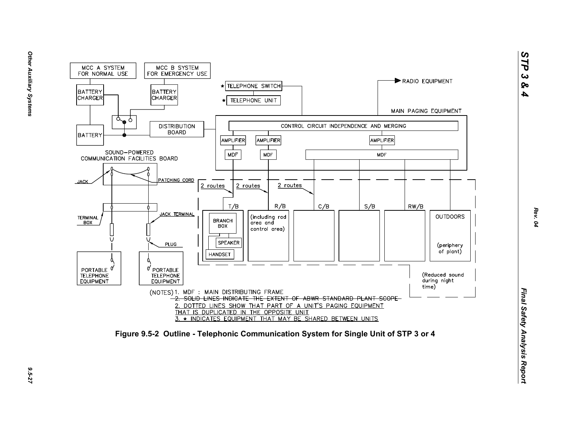

*STP 3 & 4*

9.5-27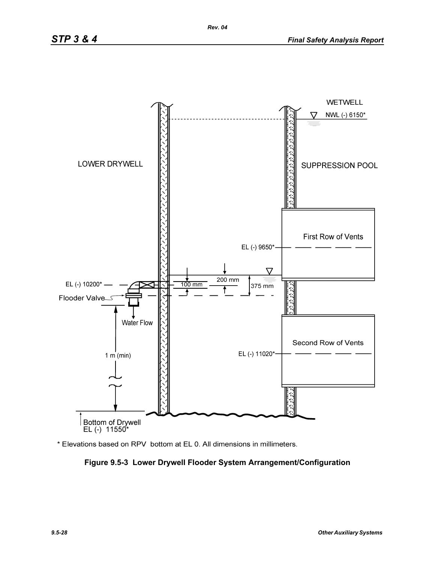

\* Elevations based on RPV bottom at EL 0. All dimensions in millimeters.

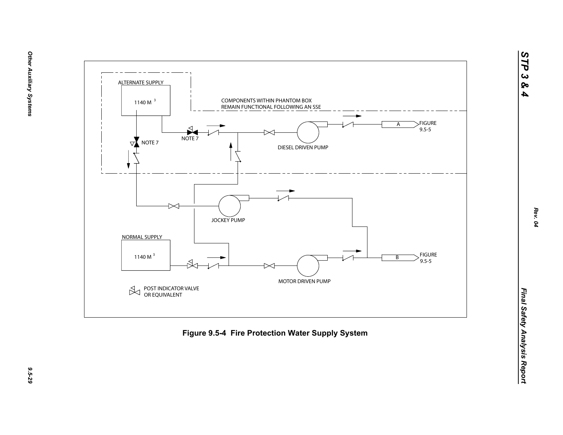



9.5-29